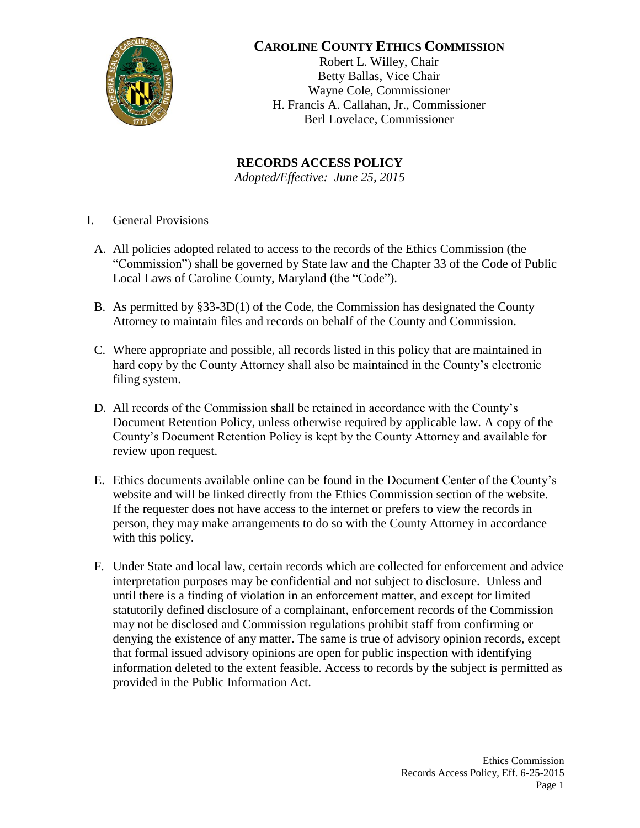

## **CAROLINE COUNTY ETHICS COMMISSION**

Robert L. Willey, Chair Betty Ballas, Vice Chair Wayne Cole, Commissioner H. Francis A. Callahan, Jr., Commissioner Berl Lovelace, Commissioner

**RECORDS ACCESS POLICY** *Adopted/Effective: June 25, 2015*

- I. General Provisions
	- A. All policies adopted related to access to the records of the Ethics Commission (the "Commission") shall be governed by State law and the Chapter 33 of the Code of Public Local Laws of Caroline County, Maryland (the "Code").
	- B. As permitted by  $\S 33-3D(1)$  of the Code, the Commission has designated the County Attorney to maintain files and records on behalf of the County and Commission.
	- C. Where appropriate and possible, all records listed in this policy that are maintained in hard copy by the County Attorney shall also be maintained in the County's electronic filing system.
	- D. All records of the Commission shall be retained in accordance with the County's Document Retention Policy, unless otherwise required by applicable law. A copy of the County's Document Retention Policy is kept by the County Attorney and available for review upon request.
	- E. Ethics documents available online can be found in the Document Center of the County's website and will be linked directly from the Ethics Commission section of the website. If the requester does not have access to the internet or prefers to view the records in person, they may make arrangements to do so with the County Attorney in accordance with this policy.
	- F. Under State and local law, certain records which are collected for enforcement and advice interpretation purposes may be confidential and not subject to disclosure. Unless and until there is a finding of violation in an enforcement matter, and except for limited statutorily defined disclosure of a complainant, enforcement records of the Commission may not be disclosed and Commission regulations prohibit staff from confirming or denying the existence of any matter. The same is true of advisory opinion records, except that formal issued advisory opinions are open for public inspection with identifying information deleted to the extent feasible. Access to records by the subject is permitted as provided in the Public Information Act.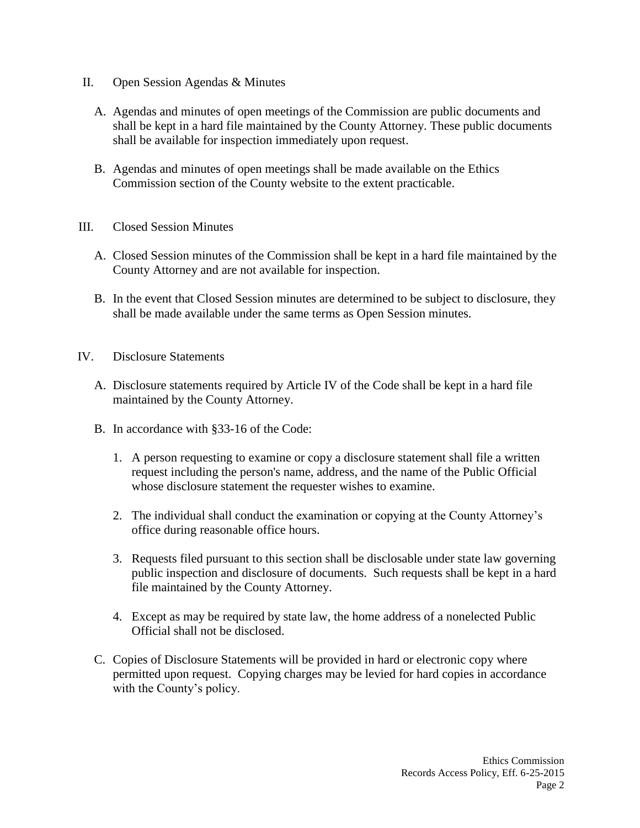- II. Open Session Agendas & Minutes
	- A. Agendas and minutes of open meetings of the Commission are public documents and shall be kept in a hard file maintained by the County Attorney. These public documents shall be available for inspection immediately upon request.
	- B. Agendas and minutes of open meetings shall be made available on the Ethics Commission section of the County website to the extent practicable.
- III. Closed Session Minutes
	- A. Closed Session minutes of the Commission shall be kept in a hard file maintained by the County Attorney and are not available for inspection.
	- B. In the event that Closed Session minutes are determined to be subject to disclosure, they shall be made available under the same terms as Open Session minutes.
- IV. Disclosure Statements
	- A. Disclosure statements required by Article IV of the Code shall be kept in a hard file maintained by the County Attorney.
	- B. In accordance with §33-16 of the Code:
		- 1. A person requesting to examine or copy a disclosure statement shall file a written request including the person's name, address, and the name of the Public Official whose disclosure statement the requester wishes to examine.
		- 2. The individual shall conduct the examination or copying at the County Attorney's office during reasonable office hours.
		- 3. Requests filed pursuant to this section shall be disclosable under state law governing public inspection and disclosure of documents. Such requests shall be kept in a hard file maintained by the County Attorney.
		- 4. Except as may be required by state law, the home address of a nonelected Public Official shall not be disclosed.
	- C. Copies of Disclosure Statements will be provided in hard or electronic copy where permitted upon request. Copying charges may be levied for hard copies in accordance with the County's policy.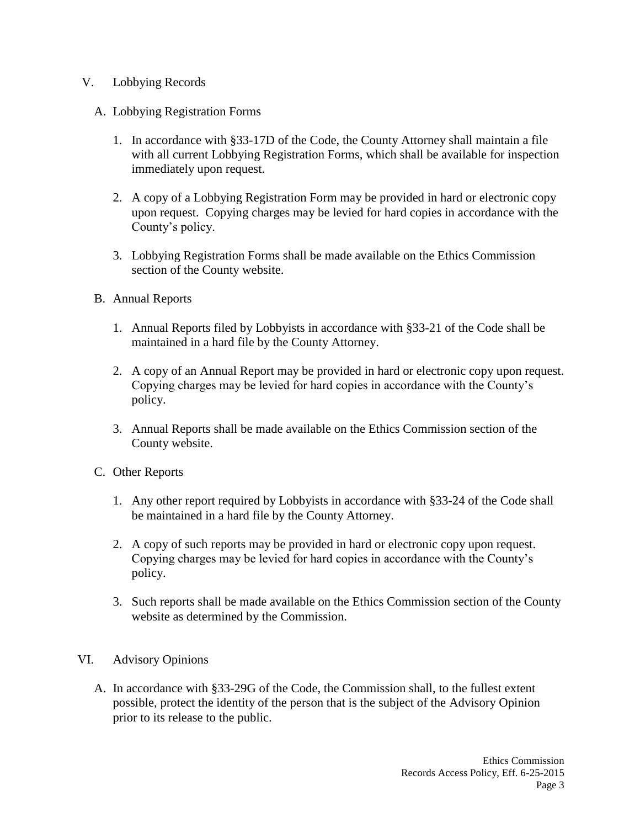## V. Lobbying Records

- A. Lobbying Registration Forms
	- 1. In accordance with §33-17D of the Code, the County Attorney shall maintain a file with all current Lobbying Registration Forms, which shall be available for inspection immediately upon request.
	- 2. A copy of a Lobbying Registration Form may be provided in hard or electronic copy upon request. Copying charges may be levied for hard copies in accordance with the County's policy.
	- 3. Lobbying Registration Forms shall be made available on the Ethics Commission section of the County website.
- B. Annual Reports
	- 1. Annual Reports filed by Lobbyists in accordance with §33-21 of the Code shall be maintained in a hard file by the County Attorney.
	- 2. A copy of an Annual Report may be provided in hard or electronic copy upon request. Copying charges may be levied for hard copies in accordance with the County's policy.
	- 3. Annual Reports shall be made available on the Ethics Commission section of the County website.
- C. Other Reports
	- 1. Any other report required by Lobbyists in accordance with §33-24 of the Code shall be maintained in a hard file by the County Attorney.
	- 2. A copy of such reports may be provided in hard or electronic copy upon request. Copying charges may be levied for hard copies in accordance with the County's policy.
	- 3. Such reports shall be made available on the Ethics Commission section of the County website as determined by the Commission.
- VI. Advisory Opinions
	- A. In accordance with §33-29G of the Code, the Commission shall, to the fullest extent possible, protect the identity of the person that is the subject of the Advisory Opinion prior to its release to the public.